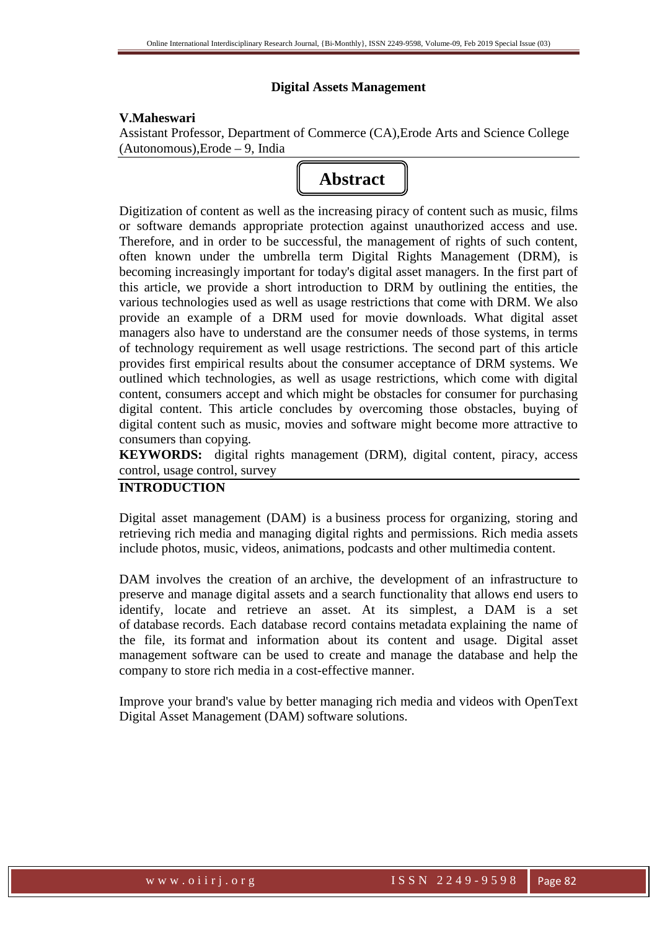## **Digital Assets Management**

# **V.Maheswari**

Assistant Professor, Department of Commerce (CA),Erode Arts and Science College (Autonomous),Erode – 9, India

# **Abstract**

Digitization of content as well as the increasing piracy of content such as music, films or software demands appropriate protection against unauthorized access and use. Therefore, and in order to be successful, the management of rights of such content, often known under the umbrella term Digital Rights Management (DRM), is becoming increasingly important for today's digital asset managers. In the first part of this article, we provide a short introduction to DRM by outlining the entities, the various technologies used as well as usage restrictions that come with DRM. We also provide an example of a DRM used for movie downloads. What digital asset managers also have to understand are the consumer needs of those systems, in terms of technology requirement as well usage restrictions. The second part of this article provides first empirical results about the consumer acceptance of DRM systems. We outlined which technologies, as well as usage restrictions, which come with digital content, consumers accept and which might be obstacles for consumer for purchasing digital content. This article concludes by overcoming those obstacles, buying of digital content such as music, movies and software might become more attractive to consumers than copying.

**KEYWORDS:** digital rights management (DRM), digital content, piracy, access control, usage control, survey

# **INTRODUCTION**

Digital asset management (DAM) is a business process for organizing, storing and retrieving rich media and managing digital rights and permissions. Rich media assets include photos, music, videos, animations, podcasts and other multimedia content.

DAM involves the creation of an archive, the development of an infrastructure to preserve and manage digital assets and a search functionality that allows end users to identify, locate and retrieve an asset. At its simplest, a DAM is a set of database records. Each database record contains metadata explaining the name of the file, its format and information about its content and usage. Digital asset management software can be used to create and manage the database and help the company to store rich media in a cost-effective manner.

Improve your brand's value by better managing rich media and videos with OpenText Digital Asset Management (DAM) software solutions.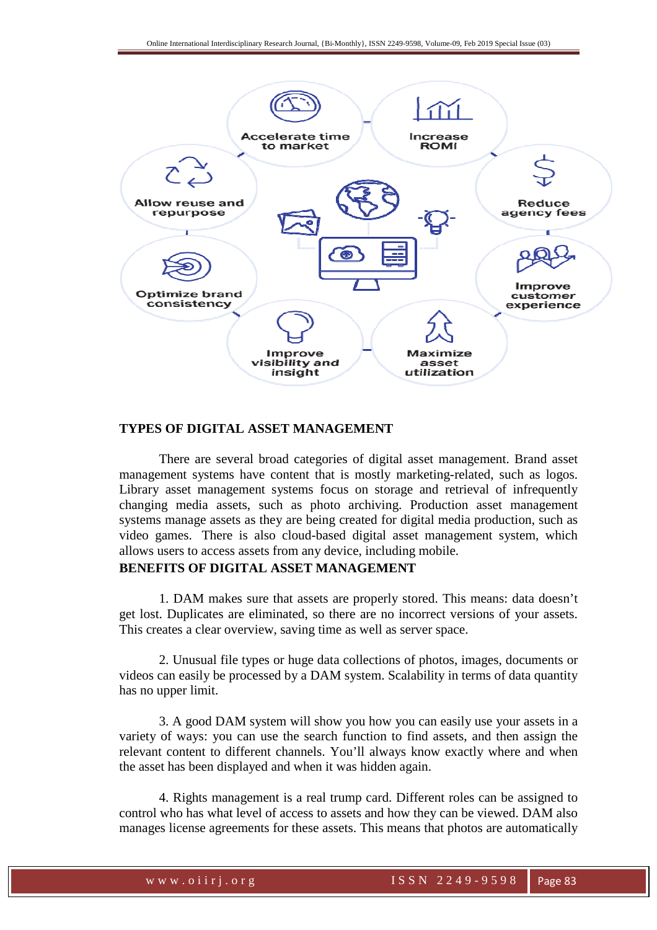

# **TYPES OF DIGITAL ASSET MANAGEMENT**

There are several broad categories of digital asset management. Brand asset management systems have content that is mostly marketing-related, such as logos. Library asset management systems focus on storage and retrieval of infrequently changing media assets, such as photo archiving. Production asset management systems manage assets as they are being created for digital media production, such as video games. There is also cloud-based digital asset management system, which allows users to access assets from any device, including mobile.

# **BENEFITS OF DIGITAL ASSET MANAGEMENT**

1. DAM makes sure that assets are properly stored. This means: data doesn't get lost. Duplicates are eliminated, so there are no incorrect versions of your assets. This creates a clear overview, saving time as well as server space.

2. Unusual file types or huge data collections of photos, images, documents or videos can easily be processed by a DAM system. Scalability in terms of data quantity has no upper limit.

3. A good DAM system will show you how you can easily use your assets in a variety of ways: you can use the search function to find assets, and then assign the relevant content to different channels. You'll always know exactly where and when the asset has been displayed and when it was hidden again.

4. Rights management is a real trump card. Different roles can be assigned to control who has what level of access to assets and how they can be viewed. DAM also manages license agreements for these assets. This means that photos are automatically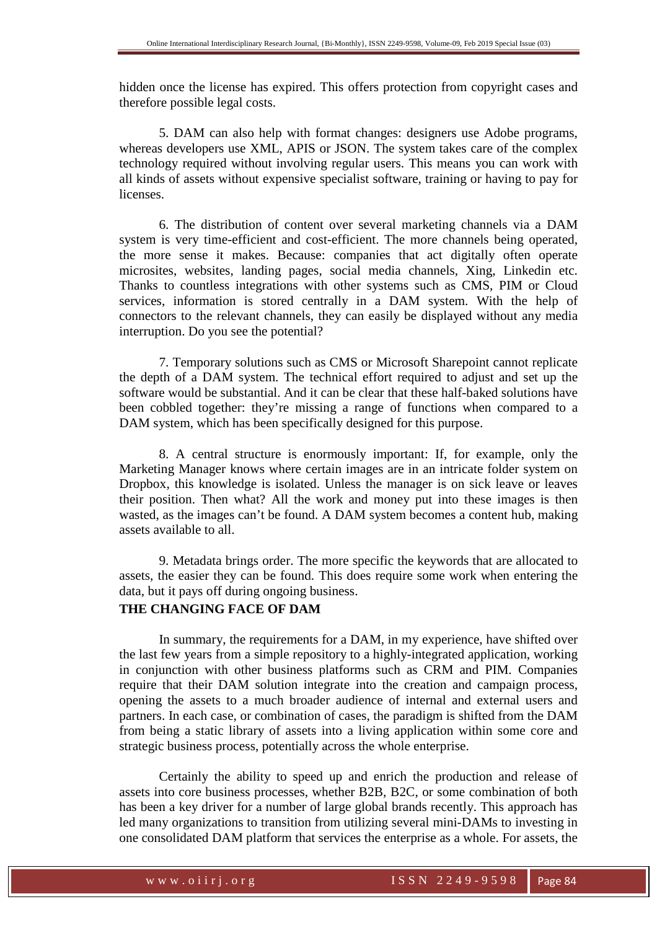hidden once the license has expired. This offers protection from copyright cases and therefore possible legal costs.

5. DAM can also help with format changes: designers use Adobe programs, whereas developers use XML, APIS or JSON. The system takes care of the complex technology required without involving regular users. This means you can work with all kinds of assets without expensive specialist software, training or having to pay for licenses.

6. The distribution of content over several marketing channels via a DAM system is very time-efficient and cost-efficient. The more channels being operated, the more sense it makes. Because: companies that act digitally often operate microsites, websites, landing pages, social media channels, Xing, Linkedin etc. Thanks to countless integrations with other systems such as CMS, PIM or Cloud services, information is stored centrally in a DAM system. With the help of connectors to the relevant channels, they can easily be displayed without any media interruption. Do you see the potential?

7. Temporary solutions such as CMS or Microsoft Sharepoint cannot replicate the depth of a DAM system. The technical effort required to adjust and set up the software would be substantial. And it can be clear that these half-baked solutions have been cobbled together: they're missing a range of functions when compared to a DAM system, which has been specifically designed for this purpose.

8. A central structure is enormously important: If, for example, only the Marketing Manager knows where certain images are in an intricate folder system on Dropbox, this knowledge is isolated. Unless the manager is on sick leave or leaves their position. Then what? All the work and money put into these images is then wasted, as the images can't be found. A DAM system becomes a content hub, making assets available to all.

9. Metadata brings order. The more specific the keywords that are allocated to assets, the easier they can be found. This does require some work when entering the data, but it pays off during ongoing business.

# **THE CHANGING FACE OF DAM**

In summary, the requirements for a DAM, in my experience, have shifted over the last few years from a simple repository to a highly-integrated application, working in conjunction with other business platforms such as CRM and PIM. Companies require that their DAM solution integrate into the creation and campaign process, opening the assets to a much broader audience of internal and external users and partners. In each case, or combination of cases, the paradigm is shifted from the DAM from being a static library of assets into a living application within some core and strategic business process, potentially across the whole enterprise.

Certainly the ability to speed up and enrich the production and release of assets into core business processes, whether B2B, B2C, or some combination of both has been a key driver for a number of large global brands recently. This approach has led many organizations to transition from utilizing several mini-DAMs to investing in one consolidated DAM platform that services the enterprise as a whole. For assets, the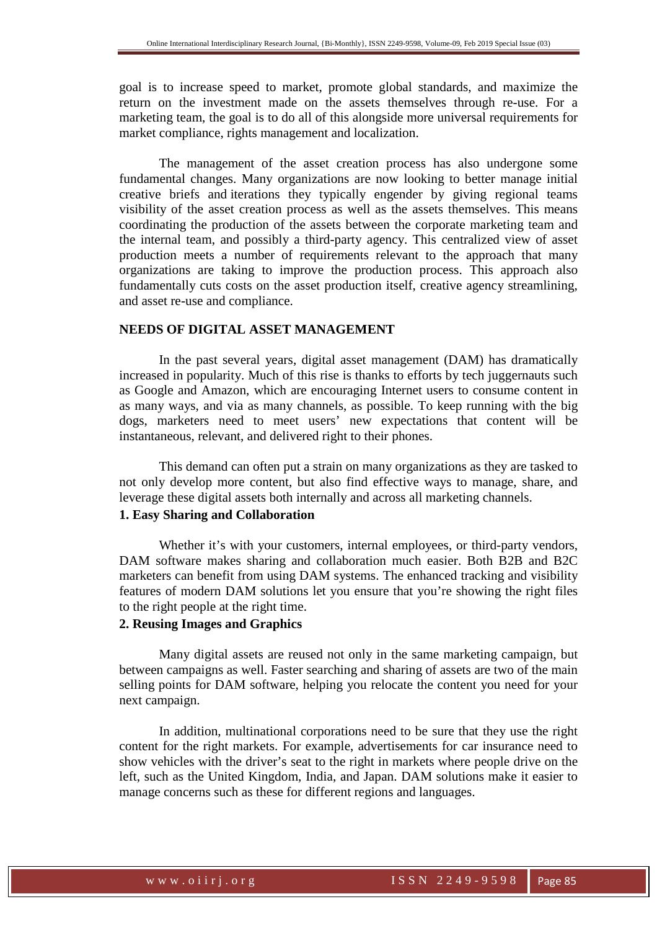goal is to increase speed to market, promote global standards, and maximize the return on the investment made on the assets themselves through re-use. For a marketing team, the goal is to do all of this alongside more universal requirements for market compliance, rights management and localization.

The management of the asset creation process has also undergone some fundamental changes. Many organizations are now looking to better manage initial creative briefs and iterations they typically engender by giving regional teams visibility of the asset creation process as well as the assets themselves. This means coordinating the production of the assets between the corporate marketing team and the internal team, and possibly a third-party agency. This centralized view of asset production meets a number of requirements relevant to the approach that many organizations are taking to improve the production process. This approach also fundamentally cuts costs on the asset production itself, creative agency streamlining, and asset re-use and compliance.

# **NEEDS OF DIGITAL ASSET MANAGEMENT**

In the past several years, digital asset management (DAM) has dramatically increased in popularity. Much of this rise is thanks to efforts by tech juggernauts such as Google and Amazon, which are encouraging Internet users to consume content in as many ways, and via as many channels, as possible. To keep running with the big dogs, marketers need to meet users' new expectations that content will be instantaneous, relevant, and delivered right to their phones.

This demand can often put a strain on many organizations as they are tasked to not only develop more content, but also find effective ways to manage, share, and leverage these digital assets both internally and across all marketing channels.

# **1. Easy Sharing and Collaboration**

Whether it's with your customers, internal employees, or third-party vendors, DAM software makes sharing and collaboration much easier. Both B2B and B2C marketers can benefit from using DAM systems. The enhanced tracking and visibility features of modern DAM solutions let you ensure that you're showing the right files to the right people at the right time.

# **2. Reusing Images and Graphics**

Many digital assets are reused not only in the same marketing campaign, but between campaigns as well. Faster searching and sharing of assets are two of the main selling points for DAM software, helping you relocate the content you need for your next campaign.

In addition, multinational corporations need to be sure that they use the right content for the right markets. For example, advertisements for car insurance need to show vehicles with the driver's seat to the right in markets where people drive on the left, such as the United Kingdom, India, and Japan. DAM solutions make it easier to manage concerns such as these for different regions and languages.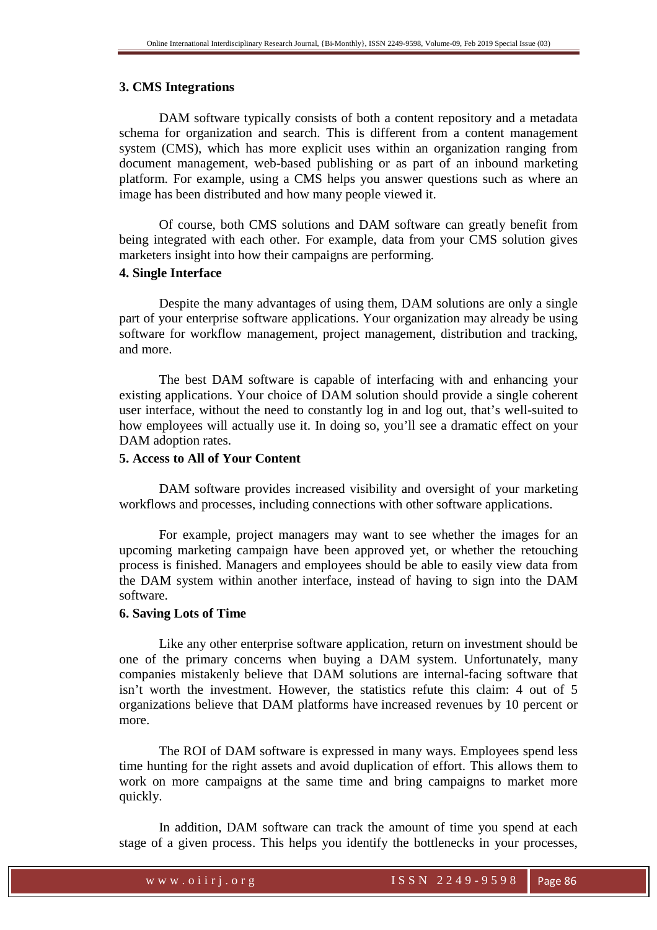#### **3. CMS Integrations**

DAM software typically consists of both a content repository and a metadata schema for organization and search. This is different from a content management system (CMS), which has more explicit uses within an organization ranging from document management, web-based publishing or as part of an inbound marketing platform. For example, using a CMS helps you answer questions such as where an image has been distributed and how many people viewed it.

Of course, both CMS solutions and DAM software can greatly benefit from being integrated with each other. For example, data from your CMS solution gives marketers insight into how their campaigns are performing.

## **4. Single Interface**

Despite the many advantages of using them, DAM solutions are only a single part of your enterprise software applications. Your organization may already be using software for workflow management, project management, distribution and tracking, and more.

The best DAM software is capable of interfacing with and enhancing your existing applications. Your choice of DAM solution should provide a single coherent user interface, without the need to constantly log in and log out, that's well-suited to how employees will actually use it. In doing so, you'll see a dramatic effect on your DAM adoption rates.

#### **5. Access to All of Your Content**

DAM software provides increased visibility and oversight of your marketing workflows and processes, including connections with other software applications.

For example, project managers may want to see whether the images for an upcoming marketing campaign have been approved yet, or whether the retouching process is finished. Managers and employees should be able to easily view data from the DAM system within another interface, instead of having to sign into the DAM software.

## **6. Saving Lots of Time**

Like any other enterprise software application, return on investment should be one of the primary concerns when buying a DAM system. Unfortunately, many companies mistakenly believe that DAM solutions are internal-facing software that isn't worth the investment. However, the statistics refute this claim: 4 out of 5 organizations believe that DAM platforms have increased revenues by 10 percent or more.

The ROI of DAM software is expressed in many ways. Employees spend less time hunting for the right assets and avoid duplication of effort. This allows them to work on more campaigns at the same time and bring campaigns to market more quickly.

In addition, DAM software can track the amount of time you spend at each stage of a given process. This helps you identify the bottlenecks in your processes,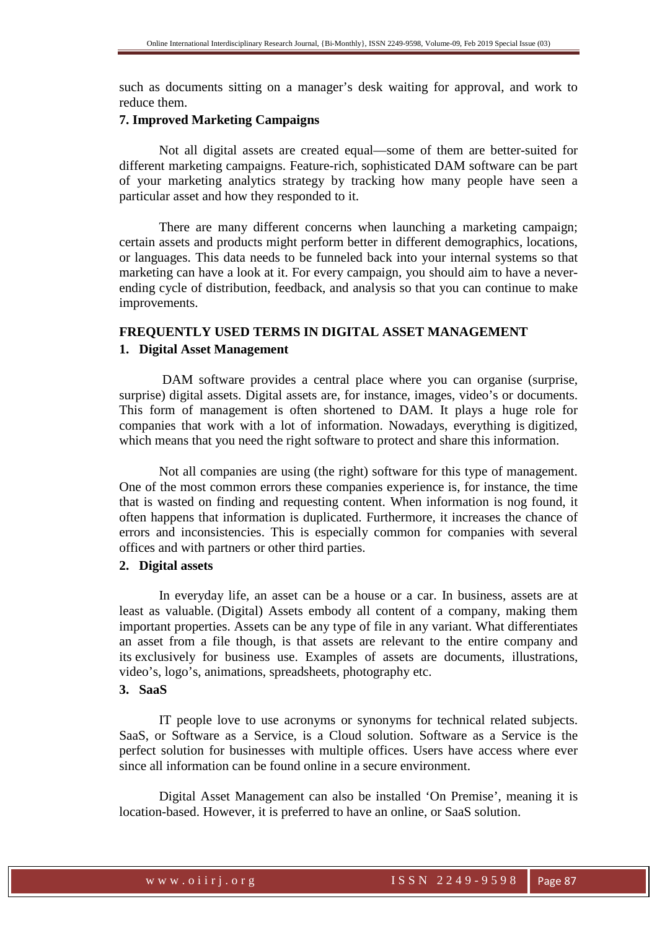such as documents sitting on a manager's desk waiting for approval, and work to reduce them.

# **7. Improved Marketing Campaigns**

Not all digital assets are created equal—some of them are better-suited for different marketing campaigns. Feature-rich, sophisticated DAM software can be part of your marketing analytics strategy by tracking how many people have seen a particular asset and how they responded to it.

There are many different concerns when launching a marketing campaign; certain assets and products might perform better in different demographics, locations, or languages. This data needs to be funneled back into your internal systems so that marketing can have a look at it. For every campaign, you should aim to have a neverending cycle of distribution, feedback, and analysis so that you can continue to make improvements.

# **FREQUENTLY USED TERMS IN DIGITAL ASSET MANAGEMENT 1. Digital Asset Management**

 DAM software provides a central place where you can organise (surprise, surprise) digital assets. Digital assets are, for instance, images, video's or documents. This form of management is often shortened to DAM. It plays a huge role for companies that work with a lot of information. Nowadays, everything is digitized, which means that you need the right software to protect and share this information.

Not all companies are using (the right) software for this type of management. One of the most common errors these companies experience is, for instance, the time that is wasted on finding and requesting content. When information is nog found, it often happens that information is duplicated. Furthermore, it increases the chance of errors and inconsistencies. This is especially common for companies with several offices and with partners or other third parties.

# **2. Digital assets**

In everyday life, an asset can be a house or a car. In business, assets are at least as valuable. (Digital) Assets embody all content of a company, making them important properties. Assets can be any type of file in any variant. What differentiates an asset from a file though, is that assets are relevant to the entire company and its exclusively for business use. Examples of assets are documents, illustrations, video's, logo's, animations, spreadsheets, photography etc.

# **3. SaaS**

IT people love to use acronyms or synonyms for technical related subjects. SaaS, or Software as a Service, is a Cloud solution. Software as a Service is the perfect solution for businesses with multiple offices. Users have access where ever since all information can be found online in a secure environment.

Digital Asset Management can also be installed 'On Premise', meaning it is location-based. However, it is preferred to have an online, or SaaS solution.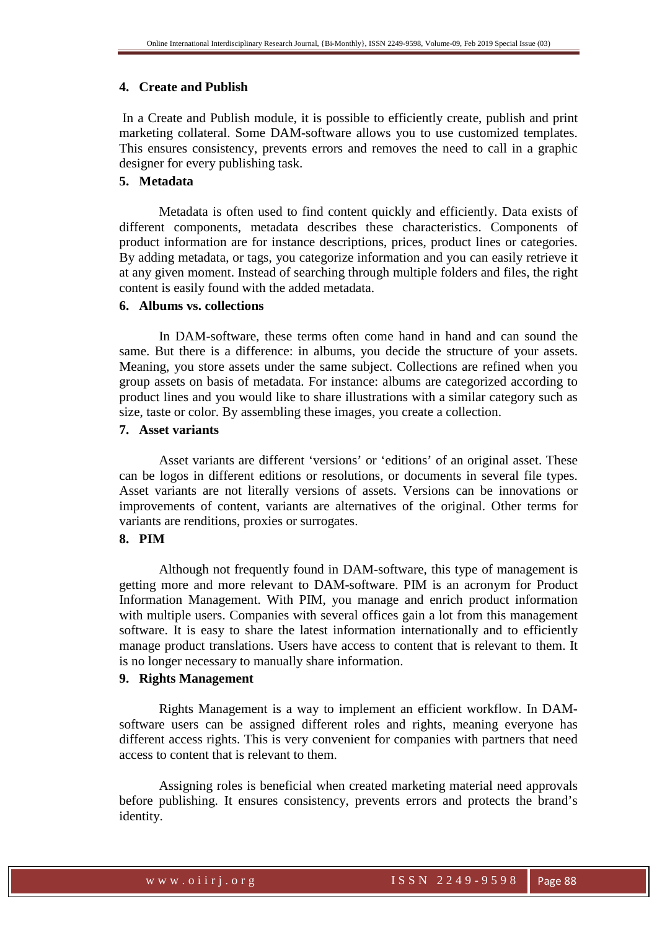## **4. Create and Publish**

 In a Create and Publish module, it is possible to efficiently create, publish and print marketing collateral. Some DAM-software allows you to use customized templates. This ensures consistency, prevents errors and removes the need to call in a graphic designer for every publishing task.

# **5. Metadata**

Metadata is often used to find content quickly and efficiently. Data exists of different components, metadata describes these characteristics. Components of product information are for instance descriptions, prices, product lines or categories. By adding metadata, or tags, you categorize information and you can easily retrieve it at any given moment. Instead of searching through multiple folders and files, the right content is easily found with the added metadata.

## **6. Albums vs. collections**

In DAM-software, these terms often come hand in hand and can sound the same. But there is a difference: in albums, you decide the structure of your assets. Meaning, you store assets under the same subject. Collections are refined when you group assets on basis of metadata. For instance: albums are categorized according to product lines and you would like to share illustrations with a similar category such as size, taste or color. By assembling these images, you create a collection.

# **7. Asset variants**

Asset variants are different 'versions' or 'editions' of an original asset. These can be logos in different editions or resolutions, or documents in several file types. Asset variants are not literally versions of assets. Versions can be innovations or improvements of content, variants are alternatives of the original. Other terms for variants are renditions, proxies or surrogates.

# **8. PIM**

Although not frequently found in DAM-software, this type of management is getting more and more relevant to DAM-software. PIM is an acronym for Product Information Management. With PIM, you manage and enrich product information with multiple users. Companies with several offices gain a lot from this management software. It is easy to share the latest information internationally and to efficiently manage product translations. Users have access to content that is relevant to them. It is no longer necessary to manually share information.

## **9. Rights Management**

Rights Management is a way to implement an efficient workflow. In DAMsoftware users can be assigned different roles and rights, meaning everyone has different access rights. This is very convenient for companies with partners that need access to content that is relevant to them.

Assigning roles is beneficial when created marketing material need approvals before publishing. It ensures consistency, prevents errors and protects the brand's identity.